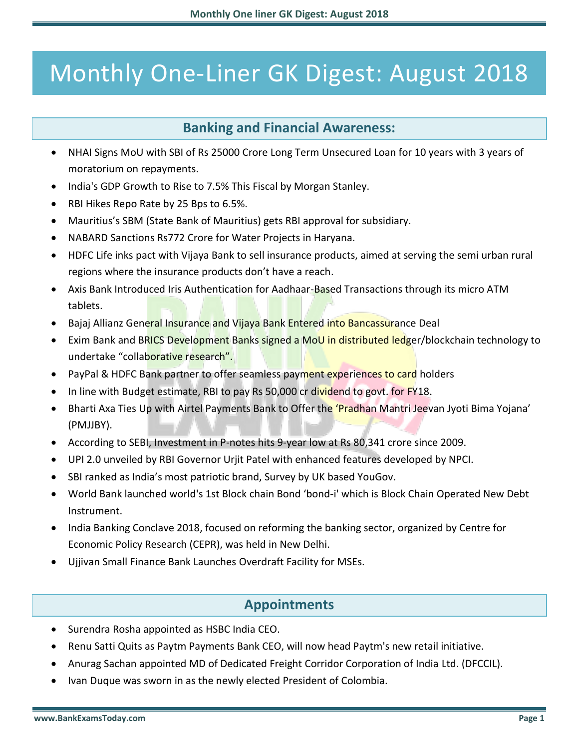# Monthly One-Liner GK Digest: August 2018

# **Banking and Financial Awareness:**

- NHAI Signs MoU with SBI of Rs 25000 Crore Long Term Unsecured Loan for 10 years with 3 years of moratorium on repayments.
- India's GDP Growth to Rise to 7.5% This Fiscal by Morgan Stanley.
- RBI Hikes Repo Rate by 25 Bps to 6.5%.
- Mauritius's SBM (State Bank of Mauritius) gets RBI approval for subsidiary.
- NABARD Sanctions Rs772 Crore for Water Projects in Haryana.
- HDFC Life inks pact with Vijaya Bank to sell insurance products, aimed at serving the semi urban rural regions where the insurance products don't have a reach.
- Axis Bank Introduced Iris Authentication for Aadhaar-Based Transactions through its micro ATM tablets.
- **Bajaj Allianz General Insurance and Vijaya Bank Entered into Bancassurance Deal**
- Exim Bank and BRICS Development Banks signed a MoU in distributed ledger/blockchain technology to undertake "collaborative research".
- PayPal & HDFC Bank partner to offer seamless payment experiences to card holders
- In line with Budget estimate, RBI to pay Rs 50,000 cr dividend to govt. for FY18.
- Bharti Axa Ties Up with Airtel Payments Bank to Offer the 'Pradhan Mantri Jeevan Jyoti Bima Yojana' (PMJJBY).
- According to SEBI, Investment in P-notes hits 9-year low at Rs 80,341 crore since 2009.
- UPI 2.0 unveiled by RBI Governor Urjit Patel with enhanced features developed by NPCI.
- SBI ranked as India's most patriotic brand, Survey by UK based YouGov.
- World Bank launched world's 1st Block chain Bond 'bond-i' which is Block Chain Operated New Debt Instrument.
- India Banking Conclave 2018, focused on reforming the banking sector, organized by Centre for Economic Policy Research (CEPR), was held in New Delhi.
- Ujjivan Small Finance Bank Launches Overdraft Facility for MSEs.

# **Appointments**

- Surendra Rosha appointed as HSBC India CEO.
- Renu Satti Quits as Paytm Payments Bank CEO, will now head Paytm's new retail initiative.
- Anurag Sachan appointed MD of Dedicated Freight Corridor Corporation of India Ltd. (DFCCIL).
- Ivan Duque was sworn in as the newly elected President of Colombia.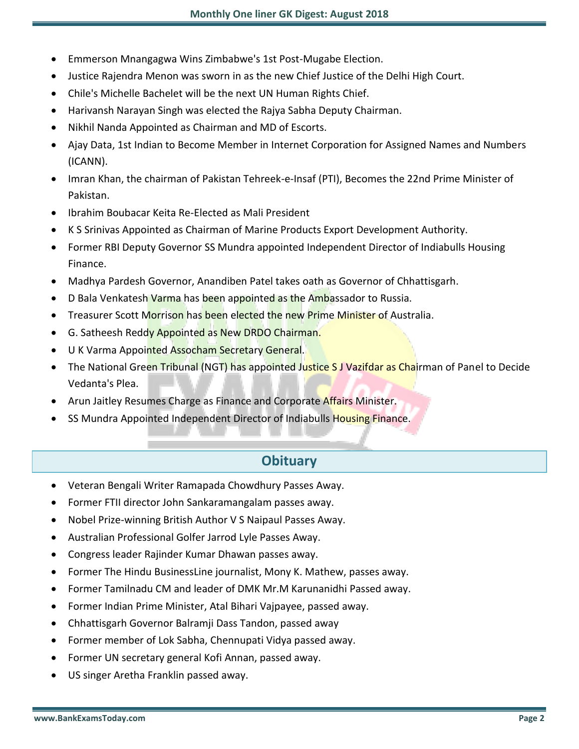- Emmerson Mnangagwa Wins Zimbabwe's 1st Post-Mugabe Election.
- Justice Rajendra Menon was sworn in as the new Chief Justice of the Delhi High Court.
- Chile's Michelle Bachelet will be the next UN Human Rights Chief.
- Harivansh Narayan Singh was elected the Rajya Sabha Deputy Chairman.
- Nikhil Nanda Appointed as Chairman and MD of Escorts.
- Ajay Data, 1st Indian to Become Member in Internet Corporation for Assigned Names and Numbers (ICANN).
- Imran Khan, the chairman of Pakistan Tehreek-e-Insaf (PTI), Becomes the 22nd Prime Minister of Pakistan.
- Ibrahim Boubacar Keita Re-Elected as Mali President
- K S Srinivas Appointed as Chairman of Marine Products Export Development Authority.
- Former RBI Deputy Governor SS Mundra appointed Independent Director of Indiabulls Housing Finance.
- Madhya Pardesh Governor, Anandiben Patel takes oath as Governor of Chhattisgarh.
- **D Bala Venkatesh Varma has been appointed as the Ambassador to Russia.**
- Treasurer Scott Morrison has been elected the new Prime Minister of Australia.
- **G. Satheesh Reddy Appointed as New DRDO Chairman.**
- U K Varma Appointed Assocham Secretary General.
- The National Green Tribunal (NGT) has appointed Justice SJ Vazifdar as Chairman of Panel to Decide Vedanta's Plea.
- Arun Jaitley Resumes Charge as Finance and Corporate Affairs Minister.
- SS Mundra Appointed Independent Director of Indiabulls Housing Finance.

# **Obituary**

- Veteran Bengali Writer Ramapada Chowdhury Passes Away.
- Former FTII director John Sankaramangalam passes away.
- Nobel Prize-winning British Author V S Naipaul Passes Away.
- Australian Professional Golfer Jarrod Lyle Passes Away.
- Congress leader Rajinder Kumar Dhawan passes away.
- Former The Hindu BusinessLine journalist, Mony K. Mathew, passes away.
- Former Tamilnadu CM and leader of DMK Mr.M Karunanidhi Passed away.
- Former Indian Prime Minister, Atal Bihari Vajpayee, passed away.
- Chhattisgarh Governor Balramji Dass Tandon, passed away
- Former member of Lok Sabha, Chennupati Vidya passed away.
- Former UN secretary general Kofi Annan, passed away.
- US singer Aretha Franklin passed away.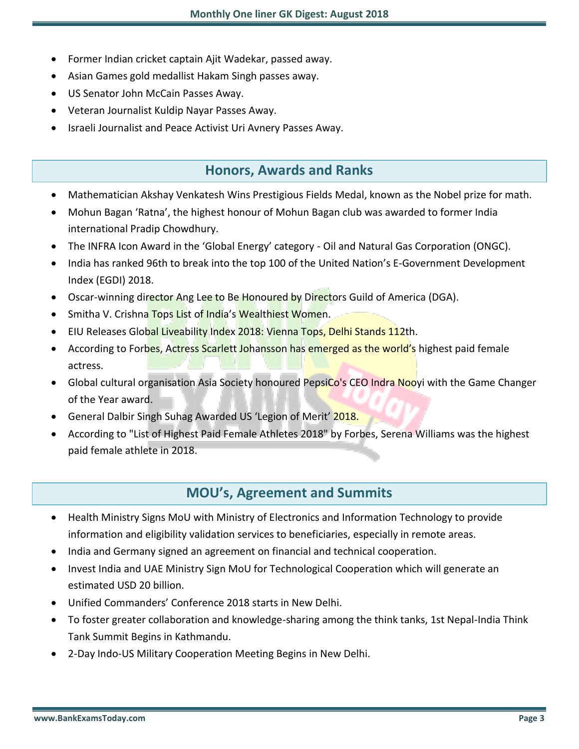- Former Indian cricket captain Ajit Wadekar, passed away.
- Asian Games gold medallist Hakam Singh passes away.
- US Senator John McCain Passes Away.
- Veteran Journalist Kuldip Nayar Passes Away.
- Israeli Journalist and Peace Activist Uri Avnery Passes Away.

# **Honors, Awards and Ranks**

- Mathematician Akshay Venkatesh Wins Prestigious Fields Medal, known as the Nobel prize for math.
- Mohun Bagan 'Ratna', the highest honour of Mohun Bagan club was awarded to former India international Pradip Chowdhury.
- The INFRA Icon Award in the 'Global Energy' category Oil and Natural Gas Corporation (ONGC).
- India has ranked 96th to break into the top 100 of the United Nation's E-Government Development Index (EGDI) 2018.
- Oscar-winning director Ang Lee to Be Honoured by Directors Guild of America (DGA).
- Smitha V. Crishna Tops List of India's Wealthiest Women.
- EIU Releases Global Liveability Index 2018: Vienna Tops, Delhi Stands 112th.
- According to Forbes, Actress Scarlett Johansson has emerged as the world's highest paid female actress.
- Global cultural organisation Asia Society honoured PepsiCo's CEO Indra Nooyi with the Game Changer of the Year award.
- General Dalbir Singh Suhag Awarded US 'Legion of Merit' 2018.
- According to "List of Highest Paid Female Athletes 2018" by Forbes, Serena Williams was the highest paid female athlete in 2018.

## **MOU's, Agreement and Summits**

- Health Ministry Signs MoU with Ministry of Electronics and Information Technology to provide information and eligibility validation services to beneficiaries, especially in remote areas.
- India and Germany signed an agreement on financial and technical cooperation.
- Invest India and UAE Ministry Sign MoU for Technological Cooperation which will generate an estimated USD 20 billion.
- Unified Commanders' Conference 2018 starts in New Delhi.
- To foster greater collaboration and knowledge-sharing among the think tanks, 1st Nepal-India Think Tank Summit Begins in Kathmandu.
- 2-Day Indo-US Military Cooperation Meeting Begins in New Delhi.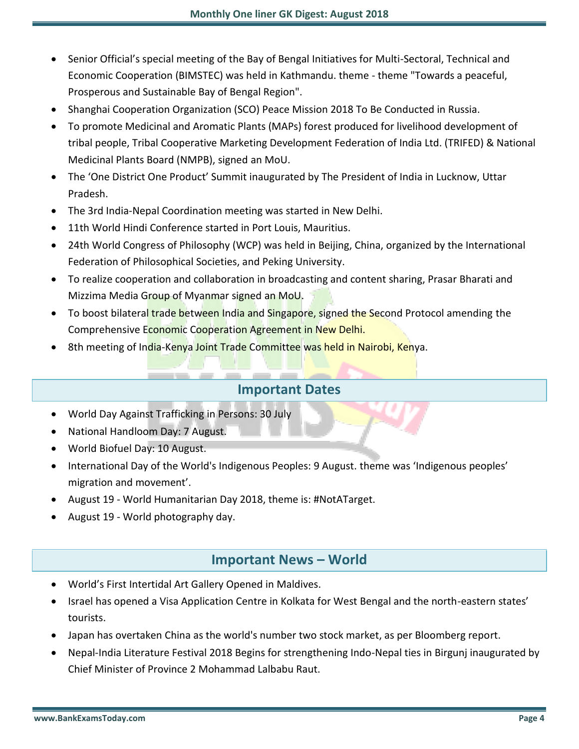- Senior Official's special meeting of the Bay of Bengal Initiatives for Multi-Sectoral, Technical and Economic Cooperation (BIMSTEC) was held in Kathmandu. theme - theme "Towards a peaceful, Prosperous and Sustainable Bay of Bengal Region".
- Shanghai Cooperation Organization (SCO) Peace Mission 2018 To Be Conducted in Russia.
- To promote Medicinal and Aromatic Plants (MAPs) forest produced for livelihood development of tribal people, Tribal Cooperative Marketing Development Federation of India Ltd. (TRIFED) & National Medicinal Plants Board (NMPB), signed an MoU.
- The 'One District One Product' Summit inaugurated by The President of India in Lucknow, Uttar Pradesh.
- The 3rd India-Nepal Coordination meeting was started in New Delhi.
- 11th World Hindi Conference started in Port Louis, Mauritius.
- 24th World Congress of Philosophy (WCP) was held in Beijing, China, organized by the International Federation of Philosophical Societies, and Peking University.
- To realize cooperation and collaboration in broadcasting and content sharing, Prasar Bharati and Mizzima Media Group of Myanmar signed an MoU.
- To boost bilateral trade between India and Singapore, signed the Second Protocol amending the Comprehensive Economic Cooperation Agreement in New Delhi.
- 8th meeting of India-Kenya Joint Trade Committee was held in Nairobi, Kenya.

#### **Important Dates**

- World Day Against Trafficking in Persons: 30 July
- National Handloom Day: 7 August.
- World Biofuel Day: 10 August.
- International Day of the World's Indigenous Peoples: 9 August. theme was 'Indigenous peoples' migration and movement'.
- August 19 World Humanitarian Day 2018, theme is: #NotATarget.
- August 19 World photography day.

#### **Important News – World**

- World's First Intertidal Art Gallery Opened in Maldives.
- Israel has opened a Visa Application Centre in Kolkata for West Bengal and the north-eastern states' tourists.
- Japan has overtaken China as the world's number two stock market, as per Bloomberg report.
- Nepal-India Literature Festival 2018 Begins for strengthening Indo-Nepal ties in Birgunj inaugurated by Chief Minister of Province 2 Mohammad Lalbabu Raut.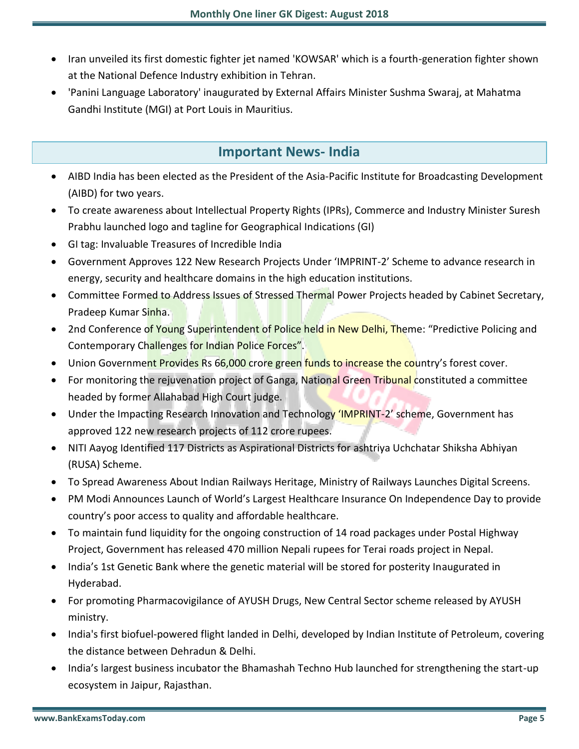- Iran unveiled its first domestic fighter jet named 'KOWSAR' which is a fourth-generation fighter shown at the National Defence Industry exhibition in Tehran.
- 'Panini Language Laboratory' inaugurated by External Affairs Minister Sushma Swaraj, at Mahatma Gandhi Institute (MGI) at Port Louis in Mauritius.

# **Important News- India**

- AIBD India has been elected as the President of the Asia-Pacific Institute for Broadcasting Development (AIBD) for two years.
- To create awareness about Intellectual Property Rights (IPRs), Commerce and Industry Minister Suresh Prabhu launched logo and tagline for Geographical Indications (GI)
- GI tag: Invaluable Treasures of Incredible India
- Government Approves 122 New Research Projects Under 'IMPRINT-2' Scheme to advance research in energy, security and healthcare domains in the high education institutions.
- Committee Formed to Address Issues of Stressed Thermal Power Projects headed by Cabinet Secretary, Pradeep Kumar Sinha.
- 2nd Conference of Young Superintendent of Police held in New Delhi, Theme: "Predictive Policing and Contemporary Challenges for Indian Police Forces".
- Union Government Provides Rs 66,000 crore green funds to increase the country's forest cover.
- For monitoring the rejuvenation project of Ganga, National Green Tribunal constituted a committee headed by former Allahabad High Court judge.
- Under the Impacting Research Innovation and Technology 'IMPRINT-2' scheme, Government has approved 122 new research projects of 112 crore rupees.
- NITI Aayog Identified 117 Districts as Aspirational Districts for ashtriya Uchchatar Shiksha Abhiyan (RUSA) Scheme.
- To Spread Awareness About Indian Railways Heritage, Ministry of Railways Launches Digital Screens.
- PM Modi Announces Launch of World's Largest Healthcare Insurance On Independence Day to provide country's poor access to quality and affordable healthcare.
- To maintain fund liquidity for the ongoing construction of 14 road packages under Postal Highway Project, Government has released 470 million Nepali rupees for Terai roads project in Nepal.
- India's 1st Genetic Bank where the genetic material will be stored for posterity Inaugurated in Hyderabad.
- For promoting Pharmacovigilance of AYUSH Drugs, New Central Sector scheme released by AYUSH ministry.
- India's first biofuel-powered flight landed in Delhi, developed by Indian Institute of Petroleum, covering the distance between Dehradun & Delhi.
- India's largest business incubator the Bhamashah Techno Hub launched for strengthening the start-up ecosystem in Jaipur, Rajasthan.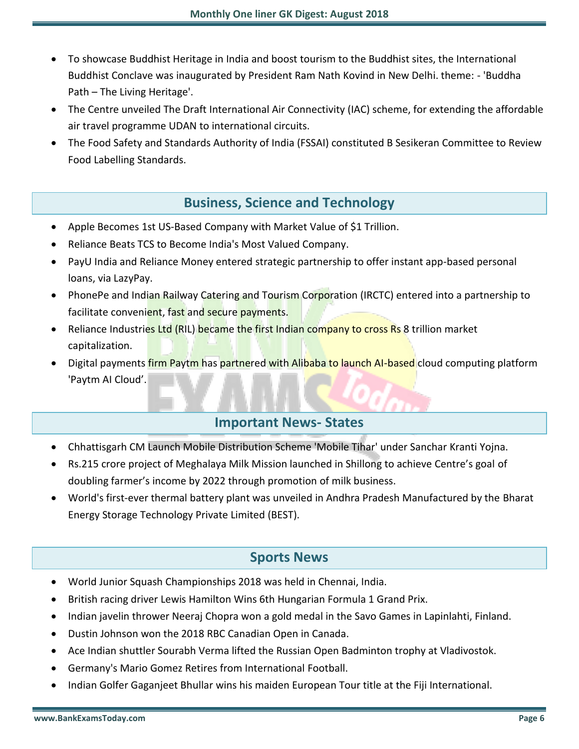- To showcase Buddhist Heritage in India and boost tourism to the Buddhist sites, the International Buddhist Conclave was inaugurated by President Ram Nath Kovind in New Delhi. theme: - 'Buddha Path – The Living Heritage'.
- The Centre unveiled The Draft International Air Connectivity (IAC) scheme, for extending the affordable air travel programme UDAN to international circuits.
- The Food Safety and Standards Authority of India (FSSAI) constituted B Sesikeran Committee to Review Food Labelling Standards.

# **Business, Science and Technology**

- Apple Becomes 1st US-Based Company with Market Value of \$1 Trillion.
- Reliance Beats TCS to Become India's Most Valued Company.
- PayU India and Reliance Money entered strategic partnership to offer instant app-based personal loans, via LazyPay.
- PhonePe and Indian Railway Catering and Tourism Corporation (IRCTC) entered into a partnership to facilitate convenient, fast and secure payments.
- Reliance Industries Ltd (RIL) became the first Indian company to cross Rs 8 trillion market capitalization.
- Digital payments firm Paytm has partnered with Alibaba to launch AI-based cloud computing platform 'Paytm AI Cloud'.

# **Important News- States**

- Chhattisgarh CM Launch Mobile Distribution Scheme 'Mobile Tihar' under Sanchar Kranti Yojna.
- Rs.215 crore project of Meghalaya Milk Mission launched in Shillong to achieve Centre's goal of doubling farmer's income by 2022 through promotion of milk business.
- World's first-ever thermal battery plant was unveiled in Andhra Pradesh Manufactured by the Bharat Energy Storage Technology Private Limited (BEST).

# **Sports News**

- World Junior Squash Championships 2018 was held in Chennai, India.
- British racing driver Lewis Hamilton Wins 6th Hungarian Formula 1 Grand Prix.
- Indian javelin thrower Neeraj Chopra won a gold medal in the Savo Games in Lapinlahti, Finland.
- Dustin Johnson won the 2018 RBC Canadian Open in Canada.
- Ace Indian shuttler Sourabh Verma lifted the Russian Open Badminton trophy at Vladivostok.
- Germany's Mario Gomez Retires from International Football.
- Indian Golfer Gaganjeet Bhullar wins his maiden European Tour title at the Fiji International.